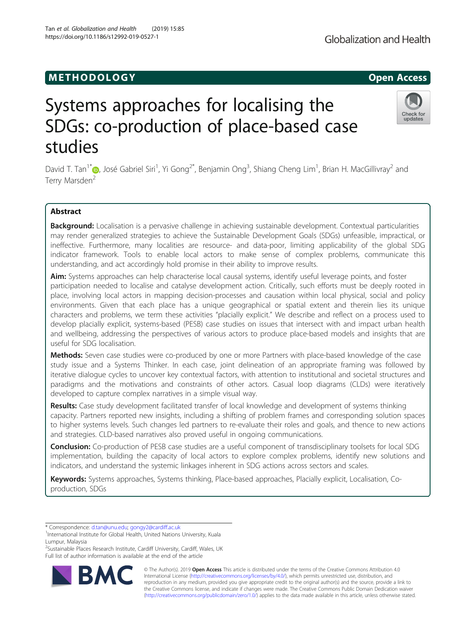# **METHODOLOGY CONSUMING ACCESS**

# Systems approaches for localising the SDGs: co-production of place-based case studies

David T. Tan<sup>1[\\*](http://orcid.org/0000-0003-4820-2878)</sup>�, José Gabriel Siri<sup>1</sup>, Yi Gong<sup>2\*</sup>, Benjamin Ong<sup>3</sup>, Shiang Cheng Lim<sup>1</sup>, Brian H. MacGillivray<sup>2</sup> and Terry Marsden<sup>2</sup>

# Abstract

Background: Localisation is a pervasive challenge in achieving sustainable development. Contextual particularities may render generalized strategies to achieve the Sustainable Development Goals (SDGs) unfeasible, impractical, or ineffective. Furthermore, many localities are resource- and data-poor, limiting applicability of the global SDG indicator framework. Tools to enable local actors to make sense of complex problems, communicate this understanding, and act accordingly hold promise in their ability to improve results.

Aim: Systems approaches can help characterise local causal systems, identify useful leverage points, and foster participation needed to localise and catalyse development action. Critically, such efforts must be deeply rooted in place, involving local actors in mapping decision-processes and causation within local physical, social and policy environments. Given that each place has a unique geographical or spatial extent and therein lies its unique characters and problems, we term these activities "placially explicit." We describe and reflect on a process used to develop placially explicit, systems-based (PESB) case studies on issues that intersect with and impact urban health and wellbeing, addressing the perspectives of various actors to produce place-based models and insights that are useful for SDG localisation.

Methods: Seven case studies were co-produced by one or more Partners with place-based knowledge of the case study issue and a Systems Thinker. In each case, joint delineation of an appropriate framing was followed by iterative dialogue cycles to uncover key contextual factors, with attention to institutional and societal structures and paradigms and the motivations and constraints of other actors. Casual loop diagrams (CLDs) were iteratively developed to capture complex narratives in a simple visual way.

Results: Case study development facilitated transfer of local knowledge and development of systems thinking capacity. Partners reported new insights, including a shifting of problem frames and corresponding solution spaces to higher systems levels. Such changes led partners to re-evaluate their roles and goals, and thence to new actions and strategies. CLD-based narratives also proved useful in ongoing communications.

**Conclusion:** Co-production of PESB case studies are a useful component of transdisciplinary toolsets for local SDG implementation, building the capacity of local actors to explore complex problems, identify new solutions and indicators, and understand the systemic linkages inherent in SDG actions across sectors and scales.

Keywords: Systems approaches, Systems thinking, Place-based approaches, Placially explicit, Localisation, Coproduction, SDGs

\* Correspondence: [d.tan@unu.edu](mailto:d.tan@unu.edu); [gongy2@cardiff.ac.uk](mailto:gongy2@cardiff.ac.uk) <sup>1</sup>

<sup>2</sup>Sustainable Places Research Institute, Cardiff University, Cardiff, Wales, UK Full list of author information is available at the end of the article

> © The Author(s). 2019 **Open Access** This article is distributed under the terms of the Creative Commons Attribution 4.0 International License [\(http://creativecommons.org/licenses/by/4.0/](http://creativecommons.org/licenses/by/4.0/)), which permits unrestricted use, distribution, and reproduction in any medium, provided you give appropriate credit to the original author(s) and the source, provide a link to the Creative Commons license, and indicate if changes were made. The Creative Commons Public Domain Dedication waiver

[\(http://creativecommons.org/publicdomain/zero/1.0/](http://creativecommons.org/publicdomain/zero/1.0/)) applies to the data made available in this article, unless otherwise stated.







<sup>&</sup>lt;sup>1</sup>International Institute for Global Health, United Nations University, Kuala Lumpur, Malaysia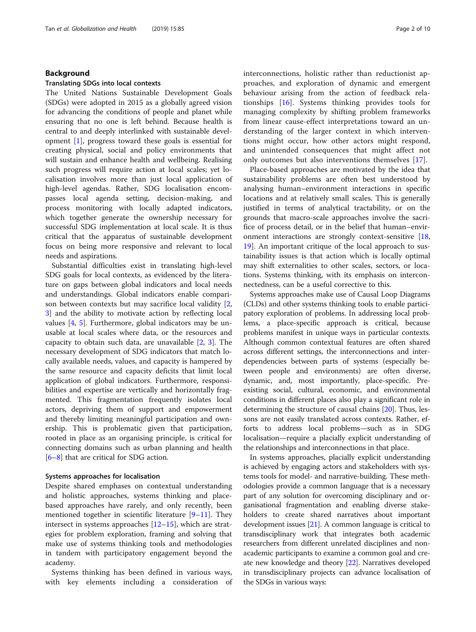# Background

# Translating SDGs into local contexts

The United Nations Sustainable Development Goals (SDGs) were adopted in 2015 as a globally agreed vision for advancing the conditions of people and planet while ensuring that no one is left behind. Because health is central to and deeply interlinked with sustainable development [\[1](#page-8-0)], progress toward these goals is essential for creating physical, social and policy environments that will sustain and enhance health and wellbeing. Realising such progress will require action at local scales; yet localisation involves more than just local application of high-level agendas. Rather, SDG localisation encompasses local agenda setting, decision-making, and process monitoring with locally adapted indicators, which together generate the ownership necessary for successful SDG implementation at local scale. It is thus critical that the apparatus of sustainable development focus on being more responsive and relevant to local needs and aspirations.

Substantial difficulties exist in translating high-level SDG goals for local contexts, as evidenced by the literature on gaps between global indicators and local needs and understandings. Global indicators enable comparison between contexts but may sacrifice local validity [\[2](#page-8-0), [3\]](#page-8-0) and the ability to motivate action by reflecting local values [\[4](#page-8-0), [5\]](#page-8-0). Furthermore, global indicators may be unusable at local scales where data, or the resources and capacity to obtain such data, are unavailable [\[2](#page-8-0), [3](#page-8-0)]. The necessary development of SDG indicators that match locally available needs, values, and capacity is hampered by the same resource and capacity deficits that limit local application of global indicators. Furthermore, responsibilities and expertise are vertically and horizontally fragmented. This fragmentation frequently isolates local actors, depriving them of support and empowerment and thereby limiting meaningful participation and ownership. This is problematic given that participation, rooted in place as an organising principle, is critical for connecting domains such as urban planning and health [[6](#page-8-0)–[8\]](#page-8-0) that are critical for SDG action.

# Systems approaches for localisation

Despite shared emphases on contextual understanding and holistic approaches, systems thinking and placebased approaches have rarely, and only recently, been mentioned together in scientific literature  $[9-11]$  $[9-11]$  $[9-11]$  $[9-11]$  $[9-11]$ . They intersect in systems approaches [\[12](#page-8-0)–[15\]](#page-8-0), which are strategies for problem exploration, framing and solving that make use of systems thinking tools and methodologies in tandem with participatory engagement beyond the academy.

Systems thinking has been defined in various ways, with key elements including a consideration of interconnections, holistic rather than reductionist approaches, and exploration of dynamic and emergent behaviour arising from the action of feedback relationships [[16\]](#page-8-0). Systems thinking provides tools for managing complexity by shifting problem frameworks from linear cause-effect interpretations toward an understanding of the larger context in which interventions might occur, how other actors might respond, and unintended consequences that might affect not only outcomes but also interventions themselves [[17\]](#page-8-0).

Place-based approaches are motivated by the idea that sustainability problems are often best understood by analysing human–environment interactions in specific locations and at relatively small scales. This is generally justified in terms of analytical tractability, or on the grounds that macro-scale approaches involve the sacrifice of process detail, or in the belief that human–environment interactions are strongly context-sensitive [[18](#page-8-0), [19\]](#page-8-0). An important critique of the local approach to sustainability issues is that action which is locally optimal may shift externalities to other scales, sectors, or locations. Systems thinking, with its emphasis on interconnectedness, can be a useful corrective to this.

Systems approaches make use of Causal Loop Diagrams (CLDs) and other systems thinking tools to enable participatory exploration of problems. In addressing local problems, a place-specific approach is critical, because problems manifest in unique ways in particular contexts. Although common contextual features are often shared across different settings, the interconnections and interdependencies between parts of systems (especially between people and environments) are often diverse, dynamic, and, most importantly, place-specific. Preexisting social, cultural, economic, and environmental conditions in different places also play a significant role in determining the structure of causal chains [\[20\]](#page-8-0). Thus, lessons are not easily translated across contexts. Rather, efforts to address local problems—such as in SDG localisation—require a placially explicit understanding of the relationships and interconnections in that place.

In systems approaches, placially explicit understanding is achieved by engaging actors and stakeholders with systems tools for model- and narrative-building. These methodologies provide a common language that is a necessary part of any solution for overcoming disciplinary and organisational fragmentation and enabling diverse stakeholders to create shared narratives about important development issues [\[21\]](#page-8-0). A common language is critical to transdisciplinary work that integrates both academic researchers from different unrelated disciplines and nonacademic participants to examine a common goal and create new knowledge and theory [[22](#page-8-0)]. Narratives developed in transdisciplinary projects can advance localisation of the SDGs in various ways: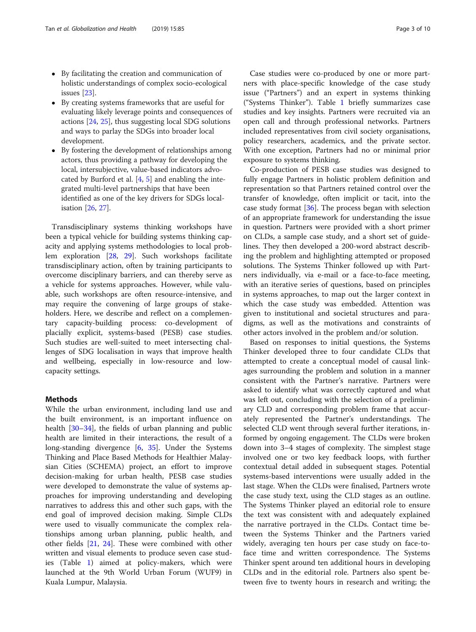- By facilitating the creation and communication of holistic understandings of complex socio-ecological issues [[23](#page-8-0)].
- By creating systems frameworks that are useful for evaluating likely leverage points and consequences of actions [\[24,](#page-8-0) [25](#page-9-0)], thus suggesting local SDG solutions and ways to parlay the SDGs into broader local development.
- By fostering the development of relationships among actors, thus providing a pathway for developing the local, intersubjective, value-based indicators advocated by Burford et al. [[4,](#page-8-0) [5](#page-8-0)] and enabling the integrated multi-level partnerships that have been identified as one of the key drivers for SDGs localisation [\[26,](#page-9-0) [27\]](#page-9-0).

Transdisciplinary systems thinking workshops have been a typical vehicle for building systems thinking capacity and applying systems methodologies to local problem exploration [[28,](#page-9-0) [29](#page-9-0)]. Such workshops facilitate transdisciplinary action, often by training participants to overcome disciplinary barriers, and can thereby serve as a vehicle for systems approaches. However, while valuable, such workshops are often resource-intensive, and may require the convening of large groups of stakeholders. Here, we describe and reflect on a complementary capacity-building process: co-development of placially explicit, systems-based (PESB) case studies. Such studies are well-suited to meet intersecting challenges of SDG localisation in ways that improve health and wellbeing, especially in low-resource and lowcapacity settings.

# Methods

While the urban environment, including land use and the built environment, is an important influence on health [\[30](#page-9-0)–[34\]](#page-9-0), the fields of urban planning and public health are limited in their interactions, the result of a long-standing divergence [[6,](#page-8-0) [35](#page-9-0)]. Under the Systems Thinking and Place Based Methods for Healthier Malaysian Cities (SCHEMA) project, an effort to improve decision-making for urban health, PESB case studies were developed to demonstrate the value of systems approaches for improving understanding and developing narratives to address this and other such gaps, with the end goal of improved decision making. Simple CLDs were used to visually communicate the complex relationships among urban planning, public health, and other fields [\[21,](#page-8-0) [24\]](#page-8-0). These were combined with other written and visual elements to produce seven case studies (Table [1\)](#page-3-0) aimed at policy-makers, which were launched at the 9th World Urban Forum (WUF9) in Kuala Lumpur, Malaysia.

Case studies were co-produced by one or more partners with place-specific knowledge of the case study issue ("Partners") and an expert in systems thinking ("Systems Thinker"). Table [1](#page-3-0) briefly summarizes case studies and key insights. Partners were recruited via an open call and through professional networks. Partners included representatives from civil society organisations, policy researchers, academics, and the private sector. With one exception, Partners had no or minimal prior exposure to systems thinking.

Co-production of PESB case studies was designed to fully engage Partners in holistic problem definition and representation so that Partners retained control over the transfer of knowledge, often implicit or tacit, into the case study format [[36](#page-9-0)]. The process began with selection of an appropriate framework for understanding the issue in question. Partners were provided with a short primer on CLDs, a sample case study, and a short set of guidelines. They then developed a 200-word abstract describing the problem and highlighting attempted or proposed solutions. The Systems Thinker followed up with Partners individually, via e-mail or a face-to-face meeting, with an iterative series of questions, based on principles in systems approaches, to map out the larger context in which the case study was embedded. Attention was given to institutional and societal structures and paradigms, as well as the motivations and constraints of other actors involved in the problem and/or solution.

Based on responses to initial questions, the Systems Thinker developed three to four candidate CLDs that attempted to create a conceptual model of causal linkages surrounding the problem and solution in a manner consistent with the Partner's narrative. Partners were asked to identify what was correctly captured and what was left out, concluding with the selection of a preliminary CLD and corresponding problem frame that accurately represented the Partner's understandings. The selected CLD went through several further iterations, informed by ongoing engagement. The CLDs were broken down into 3–4 stages of complexity. The simplest stage involved one or two key feedback loops, with further contextual detail added in subsequent stages. Potential systems-based interventions were usually added in the last stage. When the CLDs were finalised, Partners wrote the case study text, using the CLD stages as an outline. The Systems Thinker played an editorial role to ensure the text was consistent with and adequately explained the narrative portrayed in the CLDs. Contact time between the Systems Thinker and the Partners varied widely, averaging ten hours per case study on face-toface time and written correspondence. The Systems Thinker spent around ten additional hours in developing CLDs and in the editorial role. Partners also spent between five to twenty hours in research and writing; the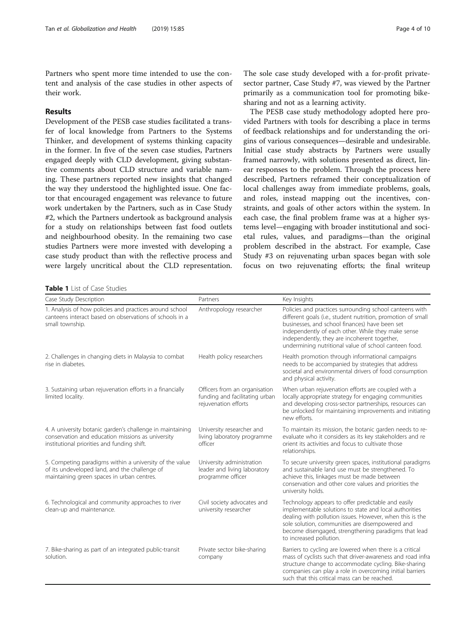<span id="page-3-0"></span>Partners who spent more time intended to use the content and analysis of the case studies in other aspects of their work.

# Results

Development of the PESB case studies facilitated a transfer of local knowledge from Partners to the Systems Thinker, and development of systems thinking capacity in the former. In five of the seven case studies, Partners engaged deeply with CLD development, giving substantive comments about CLD structure and variable naming. These partners reported new insights that changed the way they understood the highlighted issue. One factor that encouraged engagement was relevance to future work undertaken by the Partners, such as in Case Study #2, which the Partners undertook as background analysis for a study on relationships between fast food outlets and neighbourhood obesity. In the remaining two case studies Partners were more invested with developing a case study product than with the reflective process and were largely uncritical about the CLD representation.

The sole case study developed with a for-profit privatesector partner, Case Study #7, was viewed by the Partner primarily as a communication tool for promoting bikesharing and not as a learning activity.

The PESB case study methodology adopted here provided Partners with tools for describing a place in terms of feedback relationships and for understanding the origins of various consequences—desirable and undesirable. Initial case study abstracts by Partners were usually framed narrowly, with solutions presented as direct, linear responses to the problem. Through the process here described, Partners reframed their conceptualization of local challenges away from immediate problems, goals, and roles, instead mapping out the incentives, constraints, and goals of other actors within the system. In each case, the final problem frame was at a higher systems level—engaging with broader institutional and societal rules, values, and paradigms—than the original problem described in the abstract. For example, Case Study #3 on rejuvenating urban spaces began with sole focus on two rejuvenating efforts; the final writeup

Table 1 List of Case Studies

| Case Study Description                                                                                                                                        | Partners                                                                                | Key Insights                                                                                                                                                                                                                                                                                                                             |
|---------------------------------------------------------------------------------------------------------------------------------------------------------------|-----------------------------------------------------------------------------------------|------------------------------------------------------------------------------------------------------------------------------------------------------------------------------------------------------------------------------------------------------------------------------------------------------------------------------------------|
| 1. Analysis of how policies and practices around school<br>canteens interact based on observations of schools in a<br>small township.                         | Anthropology researcher                                                                 | Policies and practices surrounding school canteens with<br>different goals (i.e., student nutrition, promotion of small<br>businesses, and school finances) have been set<br>independently of each other. While they make sense<br>independently, they are incoherent together,<br>undermining nutritional value of school canteen food. |
| 2. Challenges in changing diets in Malaysia to combat<br>rise in diabetes.                                                                                    | Health policy researchers                                                               | Health promotion through informational campaigns<br>needs to be accompanied by strategies that address<br>societal and environmental drivers of food consumption<br>and physical activity.                                                                                                                                               |
| 3. Sustaining urban rejuvenation efforts in a financially<br>limited locality.                                                                                | Officers from an organisation<br>funding and facilitating urban<br>rejuvenation efforts | When urban rejuvenation efforts are coupled with a<br>locally appropriate strategy for engaging communities<br>and developing cross-sector partnerships, resources can<br>be unlocked for maintaining improvements and initiating<br>new efforts.                                                                                        |
| 4. A university botanic garden's challenge in maintaining<br>conservation and education missions as university<br>institutional priorities and funding shift. | University researcher and<br>living laboratory programme<br>officer                     | To maintain its mission, the botanic garden needs to re-<br>evaluate who it considers as its key stakeholders and re<br>orient its activities and focus to cultivate those<br>relationships.                                                                                                                                             |
| 5. Competing paradigms within a university of the value<br>of its undeveloped land, and the challenge of<br>maintaining green spaces in urban centres.        | University administration<br>leader and living laboratory<br>programme officer          | To secure university green spaces, institutional paradigms<br>and sustainable land use must be strengthened. To<br>achieve this, linkages must be made between<br>conservation and other core values and priorities the<br>university holds.                                                                                             |
| 6. Technological and community approaches to river<br>clean-up and maintenance.                                                                               | Civil society advocates and<br>university researcher                                    | Technology appears to offer predictable and easily<br>implementable solutions to state and local authorities<br>dealing with pollution issues. However, when this is the<br>sole solution, communities are disempowered and<br>become disengaged, strengthening paradigms that lead<br>to increased pollution.                           |
| 7. Bike-sharing as part of an integrated public-transit<br>solution.                                                                                          | Private sector bike-sharing<br>company                                                  | Barriers to cycling are lowered when there is a critical<br>mass of cyclists such that driver-awareness and road infra<br>structure change to accommodate cycling. Bike-sharing<br>companies can play a role in overcoming initial barriers<br>such that this critical mass can be reached.                                              |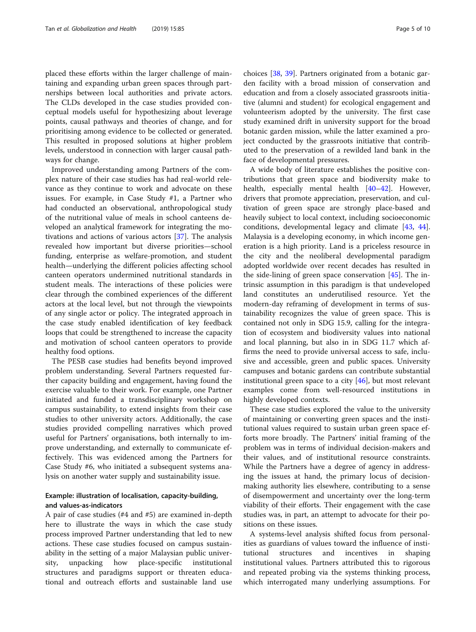placed these efforts within the larger challenge of maintaining and expanding urban green spaces through partnerships between local authorities and private actors. The CLDs developed in the case studies provided conceptual models useful for hypothesizing about leverage points, causal pathways and theories of change, and for prioritising among evidence to be collected or generated. This resulted in proposed solutions at higher problem levels, understood in connection with larger causal pathways for change.

Improved understanding among Partners of the complex nature of their case studies has had real-world relevance as they continue to work and advocate on these issues. For example, in Case Study #1, a Partner who had conducted an observational, anthropological study of the nutritional value of meals in school canteens developed an analytical framework for integrating the motivations and actions of various actors [[37\]](#page-9-0). The analysis revealed how important but diverse priorities—school funding, enterprise as welfare-promotion, and student health—underlying the different policies affecting school canteen operators undermined nutritional standards in student meals. The interactions of these policies were clear through the combined experiences of the different actors at the local level, but not through the viewpoints of any single actor or policy. The integrated approach in the case study enabled identification of key feedback loops that could be strengthened to increase the capacity and motivation of school canteen operators to provide healthy food options.

The PESB case studies had benefits beyond improved problem understanding. Several Partners requested further capacity building and engagement, having found the exercise valuable to their work. For example, one Partner initiated and funded a transdisciplinary workshop on campus sustainability, to extend insights from their case studies to other university actors. Additionally, the case studies provided compelling narratives which proved useful for Partners' organisations, both internally to improve understanding, and externally to communicate effectively. This was evidenced among the Partners for Case Study #6, who initiated a subsequent systems analysis on another water supply and sustainability issue.

# Example: illustration of localisation, capacity-building, and values-as-indicators

A pair of case studies (#4 and #5) are examined in-depth here to illustrate the ways in which the case study process improved Partner understanding that led to new actions. These case studies focused on campus sustainability in the setting of a major Malaysian public university, unpacking how place-specific institutional structures and paradigms support or threaten educational and outreach efforts and sustainable land use

choices [\[38](#page-9-0), [39\]](#page-9-0). Partners originated from a botanic garden facility with a broad mission of conservation and education and from a closely associated grassroots initiative (alumni and student) for ecological engagement and volunteerism adopted by the university. The first case study examined drift in university support for the broad botanic garden mission, while the latter examined a project conducted by the grassroots initiative that contributed to the preservation of a rewilded land bank in the face of developmental pressures.

A wide body of literature establishes the positive contributions that green space and biodiversity make to health, especially mental health [[40](#page-9-0)–[42](#page-9-0)]. However, drivers that promote appreciation, preservation, and cultivation of green space are strongly place-based and heavily subject to local context, including socioeconomic conditions, developmental legacy and climate [[43](#page-9-0), [44](#page-9-0)]. Malaysia is a developing economy, in which income generation is a high priority. Land is a priceless resource in the city and the neoliberal developmental paradigm adopted worldwide over recent decades has resulted in the side-lining of green space conservation [[45\]](#page-9-0). The intrinsic assumption in this paradigm is that undeveloped land constitutes an underutilised resource. Yet the modern-day reframing of development in terms of sustainability recognizes the value of green space. This is contained not only in SDG 15.9, calling for the integration of ecosystem and biodiversity values into national and local planning, but also in in SDG 11.7 which affirms the need to provide universal access to safe, inclusive and accessible, green and public spaces. University campuses and botanic gardens can contribute substantial institutional green space to a city [[46\]](#page-9-0), but most relevant examples come from well-resourced institutions in highly developed contexts.

These case studies explored the value to the university of maintaining or converting green spaces and the institutional values required to sustain urban green space efforts more broadly. The Partners' initial framing of the problem was in terms of individual decision-makers and their values, and of institutional resource constraints. While the Partners have a degree of agency in addressing the issues at hand, the primary locus of decisionmaking authority lies elsewhere, contributing to a sense of disempowerment and uncertainty over the long-term viability of their efforts. Their engagement with the case studies was, in part, an attempt to advocate for their positions on these issues.

A systems-level analysis shifted focus from personalities as guardians of values toward the influence of institutional structures and incentives in shaping institutional values. Partners attributed this to rigorous and repeated probing via the systems thinking process, which interrogated many underlying assumptions. For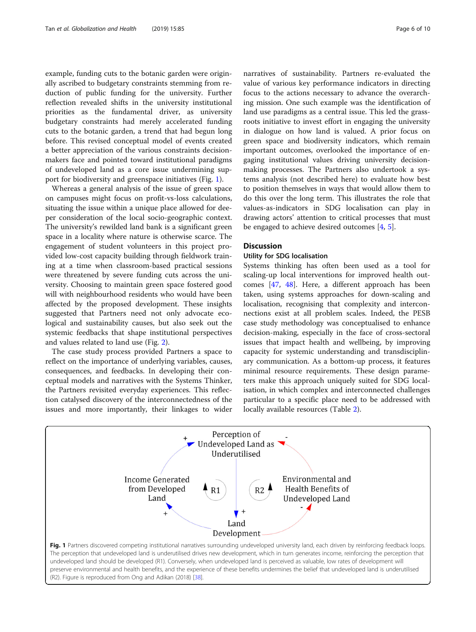example, funding cuts to the botanic garden were originally ascribed to budgetary constraints stemming from reduction of public funding for the university. Further reflection revealed shifts in the university institutional priorities as the fundamental driver, as university budgetary constraints had merely accelerated funding cuts to the botanic garden, a trend that had begun long before. This revised conceptual model of events created a better appreciation of the various constraints decisionmakers face and pointed toward institutional paradigms of undeveloped land as a core issue undermining support for biodiversity and greenspace initiatives (Fig. 1).

Whereas a general analysis of the issue of green space on campuses might focus on profit-vs-loss calculations, situating the issue within a unique place allowed for deeper consideration of the local socio-geographic context. The university's rewilded land bank is a significant green space in a locality where nature is otherwise scarce. The engagement of student volunteers in this project provided low-cost capacity building through fieldwork training at a time when classroom-based practical sessions were threatened by severe funding cuts across the university. Choosing to maintain green space fostered good will with neighbourhood residents who would have been affected by the proposed development. These insights suggested that Partners need not only advocate ecological and sustainability causes, but also seek out the systemic feedbacks that shape institutional perspectives and values related to land use (Fig. [2](#page-6-0)).

The case study process provided Partners a space to reflect on the importance of underlying variables, causes, consequences, and feedbacks. In developing their conceptual models and narratives with the Systems Thinker, the Partners revisited everyday experiences. This reflection catalysed discovery of the interconnectedness of the issues and more importantly, their linkages to wider narratives of sustainability. Partners re-evaluated the value of various key performance indicators in directing focus to the actions necessary to advance the overarching mission. One such example was the identification of land use paradigms as a central issue. This led the grassroots initiative to invest effort in engaging the university in dialogue on how land is valued. A prior focus on green space and biodiversity indicators, which remain important outcomes, overlooked the importance of engaging institutional values driving university decisionmaking processes. The Partners also undertook a systems analysis (not described here) to evaluate how best to position themselves in ways that would allow them to do this over the long term. This illustrates the role that values-as-indicators in SDG localisation can play in drawing actors' attention to critical processes that must be engaged to achieve desired outcomes [\[4](#page-8-0), [5](#page-8-0)].

# **Discussion**

# Utility for SDG localisation

Systems thinking has often been used as a tool for scaling-up local interventions for improved health outcomes [[47](#page-9-0), [48](#page-9-0)]. Here, a different approach has been taken, using systems approaches for down-scaling and localisation, recognising that complexity and interconnections exist at all problem scales. Indeed, the PESB case study methodology was conceptualised to enhance decision-making, especially in the face of cross-sectoral issues that impact health and wellbeing, by improving capacity for systemic understanding and transdisciplinary communication. As a bottom-up process, it features minimal resource requirements. These design parameters make this approach uniquely suited for SDG localisation, in which complex and interconnected challenges particular to a specific place need to be addressed with locally available resources (Table [2\)](#page-7-0).

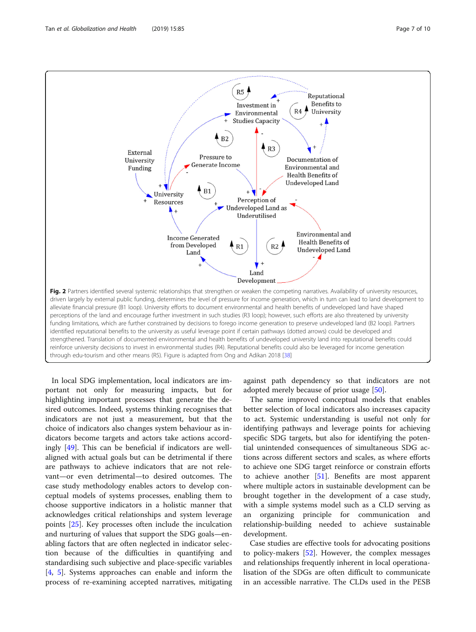<span id="page-6-0"></span>

In local SDG implementation, local indicators are important not only for measuring impacts, but for highlighting important processes that generate the desired outcomes. Indeed, systems thinking recognises that indicators are not just a measurement, but that the choice of indicators also changes system behaviour as indicators become targets and actors take actions accordingly [[49](#page-9-0)]. This can be beneficial if indicators are wellaligned with actual goals but can be detrimental if there are pathways to achieve indicators that are not relevant—or even detrimental—to desired outcomes. The case study methodology enables actors to develop conceptual models of systems processes, enabling them to choose supportive indicators in a holistic manner that acknowledges critical relationships and system leverage points [\[25\]](#page-9-0). Key processes often include the inculcation and nurturing of values that support the SDG goals—enabling factors that are often neglected in indicator selection because of the difficulties in quantifying and standardising such subjective and place-specific variables [[4,](#page-8-0) [5\]](#page-8-0). Systems approaches can enable and inform the process of re-examining accepted narratives, mitigating

against path dependency so that indicators are not adopted merely because of prior usage [[50](#page-9-0)].

The same improved conceptual models that enables better selection of local indicators also increases capacity to act. Systemic understanding is useful not only for identifying pathways and leverage points for achieving specific SDG targets, but also for identifying the potential unintended consequences of simultaneous SDG actions across different sectors and scales, as where efforts to achieve one SDG target reinforce or constrain efforts to achieve another  $[51]$  $[51]$ . Benefits are most apparent where multiple actors in sustainable development can be brought together in the development of a case study, with a simple systems model such as a CLD serving as an organizing principle for communication and relationship-building needed to achieve sustainable development.

Case studies are effective tools for advocating positions to policy-makers [\[52\]](#page-9-0). However, the complex messages and relationships frequently inherent in local operationalisation of the SDGs are often difficult to communicate in an accessible narrative. The CLDs used in the PESB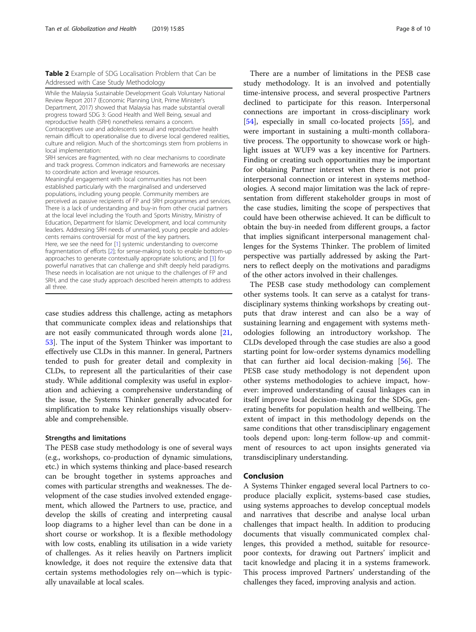<span id="page-7-0"></span>Table 2 Example of SDG Localisation Problem that Can be Addressed with Case Study Methodology

While the Malaysia Sustainable Development Goals Voluntary National Review Report 2017 (Economic Planning Unit, Prime Minister's Department, 2017) showed that Malaysia has made substantial overall progress toward SDG 3: Good Health and Well Being, sexual and reproductive health (SRH) nonetheless remains a concern. Contraceptives use and adolescents sexual and reproductive health remain difficult to operationalise due to diverse local gendered realities, culture and religion. Much of the shortcomings stem from problems in local implementation: SRH services are fragmented, with no clear mechanisms to coordinate and track progress. Common indicators and frameworks are necessary to coordinate action and leverage resources. Meaningful engagement with local communities has not been established particularly with the marginalised and underserved populations, including young people. Community members are perceived as passive recipients of FP and SRH programmes and services.

There is a lack of understanding and buy-in from other crucial partners at the local level including the Youth and Sports Ministry, Ministry of Education, Department for Islamic Development, and local community leaders. Addressing SRH needs of unmarried, young people and adolescents remains controversial for most of the key partners. Here, we see the need for [[1\]](#page-8-0) systemic understanding to overcome fragmentation of efforts [\[2](#page-8-0)]; for sense-making tools to enable bottom-up approaches to generate contextually appropriate solutions; and [[3](#page-8-0)] for powerful narratives that can challenge and shift deeply held paradigms. These needs in localisation are not unique to the challenges of FP and SRH, and the case study approach described herein attempts to address all three.

case studies address this challenge, acting as metaphors that communicate complex ideas and relationships that are not easily communicated through words alone [[21](#page-8-0), [53\]](#page-9-0). The input of the System Thinker was important to effectively use CLDs in this manner. In general, Partners tended to push for greater detail and complexity in CLDs, to represent all the particularities of their case study. While additional complexity was useful in exploration and achieving a comprehensive understanding of the issue, the Systems Thinker generally advocated for simplification to make key relationships visually observable and comprehensible.

# Strengths and limitations

The PESB case study methodology is one of several ways (e.g., workshops, co-production of dynamic simulations, etc.) in which systems thinking and place-based research can be brought together in systems approaches and comes with particular strengths and weaknesses. The development of the case studies involved extended engagement, which allowed the Partners to use, practice, and develop the skills of creating and interpreting causal loop diagrams to a higher level than can be done in a short course or workshop. It is a flexible methodology with low costs, enabling its utilisation in a wide variety of challenges. As it relies heavily on Partners implicit knowledge, it does not require the extensive data that certain systems methodologies rely on—which is typically unavailable at local scales.

There are a number of limitations in the PESB case study methodology. It is an involved and potentially time-intensive process, and several prospective Partners declined to participate for this reason. Interpersonal connections are important in cross-disciplinary work [[54\]](#page-9-0), especially in small co-located projects [[55\]](#page-9-0), and were important in sustaining a multi-month collaborative process. The opportunity to showcase work or highlight issues at WUF9 was a key incentive for Partners. Finding or creating such opportunities may be important for obtaining Partner interest when there is not prior interpersonal connection or interest in systems methodologies. A second major limitation was the lack of representation from different stakeholder groups in most of the case studies, limiting the scope of perspectives that could have been otherwise achieved. It can be difficult to obtain the buy-in needed from different groups, a factor that implies significant interpersonal management challenges for the Systems Thinker. The problem of limited perspective was partially addressed by asking the Partners to reflect deeply on the motivations and paradigms of the other actors involved in their challenges.

The PESB case study methodology can complement other systems tools. It can serve as a catalyst for transdisciplinary systems thinking workshops by creating outputs that draw interest and can also be a way of sustaining learning and engagement with systems methodologies following an introductory workshop. The CLDs developed through the case studies are also a good starting point for low-order systems dynamics modelling that can further aid local decision-making [\[56\]](#page-9-0). The PESB case study methodology is not dependent upon other systems methodologies to achieve impact, however: improved understanding of causal linkages can in itself improve local decision-making for the SDGs, generating benefits for population health and wellbeing. The extent of impact in this methodology depends on the same conditions that other transdisciplinary engagement tools depend upon: long-term follow-up and commitment of resources to act upon insights generated via transdisciplinary understanding.

# Conclusion

A Systems Thinker engaged several local Partners to coproduce placially explicit, systems-based case studies, using systems approaches to develop conceptual models and narratives that describe and analyse local urban challenges that impact health. In addition to producing documents that visually communicated complex challenges, this provided a method, suitable for resourcepoor contexts, for drawing out Partners' implicit and tacit knowledge and placing it in a systems framework. This process improved Partners' understanding of the challenges they faced, improving analysis and action.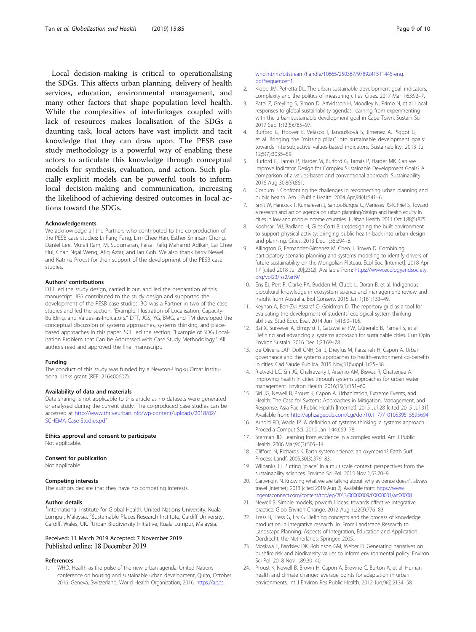<span id="page-8-0"></span>Local decision-making is critical to operationalising the SDGs. This affects urban planning, delivery of health services, education, environmental management, and many other factors that shape population level health. While the complexities of interlinkages coupled with lack of resources makes localisation of the SDGs a daunting task, local actors have vast implicit and tacit knowledge that they can draw upon. The PESB case study methodology is a powerful way of enabling these actors to articulate this knowledge through conceptual models for synthesis, evaluation, and action. Such placially explicit models can be powerful tools to inform local decision-making and communication, increasing the likelihood of achieving desired outcomes in local actions toward the SDGs.

# Acknowledgements

We acknowledge all the Partners who contributed to the co-production of the PESB case studies: Li Fang Fang, Lim Chee Han, Esther Sinirisan Chong, Daniel Lee, Murali Ram, M. Sugumaran, Faisal Rafiq Mahamd Adikan, Lai Chee Hui, Chan Ngai Weng, Afiq Azfar, and Ian Goh. We also thank Barry Newell and Katrina Proust for their support of the development of the PESB case studies.

#### Authors' contributions

DTT led the study design, carried it out, and led the preparation of this manuscript. JGS contributed to the study design and supported the development of the PESB case studies. BO was a Partner in two of the case studies and led the section, "Example: Illustration of Localisation, Capacity-Building, and Values-as-Indicators." DTT, JGS, YG, BMG, and TM developed the conceptual discussion of systems approaches, systems thinking, and placebased approaches in this paper. SCL led the section, "Example of SDG Localisation Problem that Can be Addressed with Case Study Methodology." All authors read and approved the final manuscript.

#### Funding

The conduct of this study was funded by a Newton-Ungku Omar Institutional Links grant (REF: 216400607).

# Availability of data and materials

Data sharing is not applicable to this article as no datasets were generated or analysed during the current study. The co-produced case studies can be accessed at [http://www.thriveurban.info/wp-content/uploads/2018/02/](http://www.thriveurban.info/wp-content/uploads/2018/02/SCHEMA-Case-Studies.pdf) [SCHEMA-Case-Studies.pdf](http://www.thriveurban.info/wp-content/uploads/2018/02/SCHEMA-Case-Studies.pdf)

Ethics approval and consent to participate Not applicable.

#### Consent for publication

Not applicable.

#### Competing interests

The authors declare that they have no competing interests.

#### Author details

<sup>1</sup>International Institute for Global Health, United Nations University, Kuala Lumpur, Malaysia. <sup>2</sup>Sustainable Places Research Institute, Cardiff University, Cardiff, Wales, UK. <sup>3</sup>Urban Biodiversity Initiative, Kuala Lumpur, Malaysia.

# Received: 11 March 2019 Accepted: 7 November 2019 Published online: 18 December 2019

#### References

WHO. Health as the pulse of the new urban agenda: United Nations conference on housing and sustainable urban development, Quito, October 2016. Geneva, Switzerland: World Health Organization; 2016. [https://apps.](https://apps.who.int/iris/bitstream/handle/10665/250367/9789241511445-eng.pdf?sequence=1)

# [who.int/iris/bitstream/handle/10665/250367/9789241511445-eng.](https://apps.who.int/iris/bitstream/handle/10665/250367/9789241511445-eng.pdf?sequence=1) [pdf?sequence=1.](https://apps.who.int/iris/bitstream/handle/10665/250367/9789241511445-eng.pdf?sequence=1)

- 2. Klopp JM, Petretta DL. The urban sustainable development goal: indicators, complexity and the politics of measuring cities. Cities. 2017 Mar 1;63:92–7.
- Patel Z, Greyling S, Simon D, Arfvidsson H, Moodley N, Primo N, et al. Local responses to global sustainability agendas: learning from experimenting with the urban sustainable development goal in Cape Town. Sustain Sci. 2017 Sep 1;12(5):785–97.
- 4. Burford G, Hoover E, Velasco I, Janoušková S, Jimenez A, Piggot G, et al. Bringing the "missing pillar" into sustainable development goals: towards Intersubjective values-based indicators. Sustainability. 2013 Jul 12;5(7):3035–59.
- 5. Burford G, Tamás P, Harder M, Burford G, Tamás P, Harder MK. Can we improve Indicator Design for Complex Sustainable Development Goals? A comparison of a values-based and conventional approach. Sustainability. 2016 Aug 30;8(9):861.
- 6. Corburn J. Confronting the challenges in reconnecting urban planning and public health. Am J Public Health. 2004 Apr;94(4):541–6.
- 7. Smit W, Hancock T, Kumaresen J, Santos-Burgoa C, Meneses RS-K, Friel S. Toward a research and action agenda on urban planning/design and health equity in cities in low and middle-income countries. J Urban Health. 2011 Oct 1;88(5):875.
- 8. Koohsari MJ, Badland H, Giles-Corti B. (re)designing the built environment to support physical activity: bringing public health back into urban design and planning. Cities. 2013 Dec 1;35:294–8.
- 9. Allington G, Fernandez-Gimenez M, Chen J, Brown D. Combining participatory scenario planning and systems modeling to identify drivers of future sustainability on the Mongolian Plateau. Ecol Soc [Internet]. 2018 Apr 17 [cited 2018 Jul 20];23(2). Available from: [https://www.ecologyandsociety.](https://www.ecologyandsociety.org/vol23/iss2/art9/) [org/vol23/iss2/art9/](https://www.ecologyandsociety.org/vol23/iss2/art9/)
- 10. Ens EJ, Pert P, Clarke PA, Budden M, Clubb L, Doran B, et al. Indigenous biocultural knowledge in ecosystem science and management: review and insight from Australia. Biol Conserv. 2015 Jan 1;181:133–49.
- 11. Keynan A, Ben-Zvi Assaraf O, Goldman D. The repertory grid as a tool for evaluating the development of students' ecological system thinking abilities. Stud Educ Eval. 2014 Jun 1;41:90–105.
- 12. Bai X, Surveyer A, Elmqvist T, Gatzweiler FW, Güneralp B, Parnell S, et al. Defining and advancing a systems approach for sustainable cities. Curr Opin Environ Sustain. 2016 Dec 1;23:69–78.
- 13. de Oliveira JAP, Doll CNH, Siri J, Dreyfus M, Farzaneh H, Capon A. Urban governance and the systems approaches to health-environment co-benefits in cities. Cad Saude Publica. 2015 Nov;31(Suppl 1):25–38.
- 14. Rietveld LC, Siri JG, Chakravarty I, Arsénio AM, Biswas R, Chatterjee A. Improving health in cities through systems approaches for urban water management. Environ Health. 2016;15(1):151–60.
- 15. Siri JG, Newell B, Proust K, Capon A. Urbanization, Extreme Events, and Health: The Case for Systems Approaches in Mitigation, Management, and Response. Asia Pac J Public Health [Internet]. 2015 Jul 28 [cited 2015 Jul 31]; Available from: <http://aph.sagepub.com/cgi/doi/10.1177/1010539515595694>
- 16. Arnold RD, Wade JP. A definition of systems thinking: a systems approach. Procedia Comput Sci. 2015 Jan 1;44:669–78.
- 17. Sterman JD. Learning from evidence in a complex world. Am J Public Health. 2006 Mar;96(3):505–14.
- 18. Clifford N, Richards K. Earth system science: an oxymoron? Earth Surf Process Landf. 2005;30(3):379–83.
- 19. Wilbanks TJ. Putting "place" in a multiscale context: perspectives from the sustainability sciences. Environ Sci Pol. 2015 Nov 1;53:70–9.
- 20. Cartwright N. Knowing what we are talking about: why evidence doesn't always travel [Internet]. 2013 [cited 2019 Aug 2]. Available from: [https://www.](https://www.ingentaconnect.com/content/tpp/ep/2013/00000009/00000001/art00008) [ingentaconnect.com/content/tpp/ep/2013/00000009/00000001/art00008](https://www.ingentaconnect.com/content/tpp/ep/2013/00000009/00000001/art00008)
- 21. Newell B. Simple models, powerful ideas: towards effective integrative practice. Glob Environ Change. 2012 Aug 1;22(3):776–83.
- 22. Tress B, Tress G, Fry G. Defining concepts and the process of knowledge production in integrative research. In: From Landscape Research to Landscape Planning: Aspects of Integration, Education and Application. Dordrecht, the Netherlands: Springer; 2005.
- 23. Moskwa E, Bardsley DK, Robinson GM, Weber D. Generating narratives on bushfire risk and biodiversity values to inform environmental policy. Environ Sci Pol. 2018 Nov 1;89:30–40.
- 24. Proust K, Newell B, Brown H, Capon A, Browne C, Burton A, et al. Human health and climate change: leverage points for adaptation in urban environments. Int J Environ Res Public Health. 2012 Jun;9(6):2134–58.